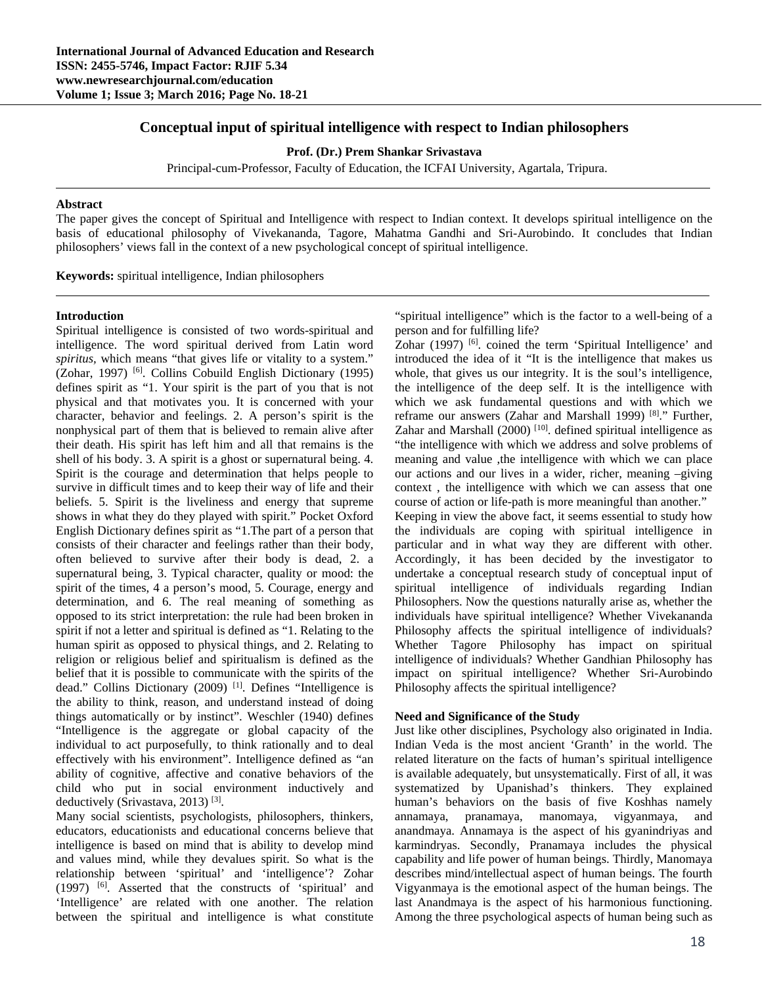# **Conceptual input of spiritual intelligence with respect to Indian philosophers**

**Prof. (Dr.) Prem Shankar Srivastava** 

Principal-cum-Professor, Faculty of Education, the ICFAI University, Agartala, Tripura.

### **Abstract**

The paper gives the concept of Spiritual and Intelligence with respect to Indian context. It develops spiritual intelligence on the basis of educational philosophy of Vivekananda, Tagore, Mahatma Gandhi and Sri-Aurobindo. It concludes that Indian philosophers' views fall in the context of a new psychological concept of spiritual intelligence.

**Keywords:** spiritual intelligence, Indian philosophers

### **Introduction**

Spiritual intelligence is consisted of two words-spiritual and intelligence. The word spiritual derived from Latin word *spiritus*, which means "that gives life or vitality to a system." (Zohar, 1997) [6]. Collins Cobuild English Dictionary (1995) defines spirit as "1. Your spirit is the part of you that is not physical and that motivates you. It is concerned with your character, behavior and feelings. 2. A person's spirit is the nonphysical part of them that is believed to remain alive after their death. His spirit has left him and all that remains is the shell of his body. 3. A spirit is a ghost or supernatural being. 4. Spirit is the courage and determination that helps people to survive in difficult times and to keep their way of life and their beliefs. 5. Spirit is the liveliness and energy that supreme shows in what they do they played with spirit." Pocket Oxford English Dictionary defines spirit as "1.The part of a person that consists of their character and feelings rather than their body, often believed to survive after their body is dead, 2. a supernatural being, 3. Typical character, quality or mood: the spirit of the times, 4 a person's mood, 5. Courage, energy and determination, and 6. The real meaning of something as opposed to its strict interpretation: the rule had been broken in spirit if not a letter and spiritual is defined as "1. Relating to the human spirit as opposed to physical things, and 2. Relating to religion or religious belief and spiritualism is defined as the belief that it is possible to communicate with the spirits of the dead." Collins Dictionary (2009) <sup>[1]</sup>. Defines "Intelligence is the ability to think, reason, and understand instead of doing things automatically or by instinct". Weschler (1940) defines "Intelligence is the aggregate or global capacity of the individual to act purposefully, to think rationally and to deal effectively with his environment". Intelligence defined as "an ability of cognitive, affective and conative behaviors of the child who put in social environment inductively and deductively (Srivastava, 2013) [3].

Many social scientists, psychologists, philosophers, thinkers, educators, educationists and educational concerns believe that intelligence is based on mind that is ability to develop mind and values mind, while they devalues spirit. So what is the relationship between 'spiritual' and 'intelligence'? Zohar (1997) [6]. Asserted that the constructs of 'spiritual' and 'Intelligence' are related with one another. The relation between the spiritual and intelligence is what constitute

"spiritual intelligence" which is the factor to a well-being of a person and for fulfilling life?

Zohar  $(1997)$  [6]. coined the term 'Spiritual Intelligence' and introduced the idea of it "It is the intelligence that makes us whole, that gives us our integrity. It is the soul's intelligence, the intelligence of the deep self. It is the intelligence with which we ask fundamental questions and with which we reframe our answers (Zahar and Marshall 1999) [8]." Further, Zahar and Marshall  $(2000)$ <sup>[10]</sup>. defined spiritual intelligence as "the intelligence with which we address and solve problems of meaning and value ,the intelligence with which we can place our actions and our lives in a wider, richer, meaning –giving context , the intelligence with which we can assess that one course of action or life-path is more meaningful than another." Keeping in view the above fact, it seems essential to study how the individuals are coping with spiritual intelligence in particular and in what way they are different with other. Accordingly, it has been decided by the investigator to undertake a conceptual research study of conceptual input of spiritual intelligence of individuals regarding Indian Philosophers. Now the questions naturally arise as, whether the individuals have spiritual intelligence? Whether Vivekananda Philosophy affects the spiritual intelligence of individuals? Whether Tagore Philosophy has impact on spiritual intelligence of individuals? Whether Gandhian Philosophy has impact on spiritual intelligence? Whether Sri-Aurobindo Philosophy affects the spiritual intelligence?

### **Need and Significance of the Study**

Just like other disciplines, Psychology also originated in India. Indian Veda is the most ancient 'Granth' in the world. The related literature on the facts of human's spiritual intelligence is available adequately, but unsystematically. First of all, it was systematized by Upanishad's thinkers. They explained human's behaviors on the basis of five Koshhas namely annamaya, pranamaya, manomaya, vigyanmaya, and anandmaya. Annamaya is the aspect of his gyanindriyas and karmindryas. Secondly, Pranamaya includes the physical capability and life power of human beings. Thirdly, Manomaya describes mind/intellectual aspect of human beings. The fourth Vigyanmaya is the emotional aspect of the human beings. The last Anandmaya is the aspect of his harmonious functioning. Among the three psychological aspects of human being such as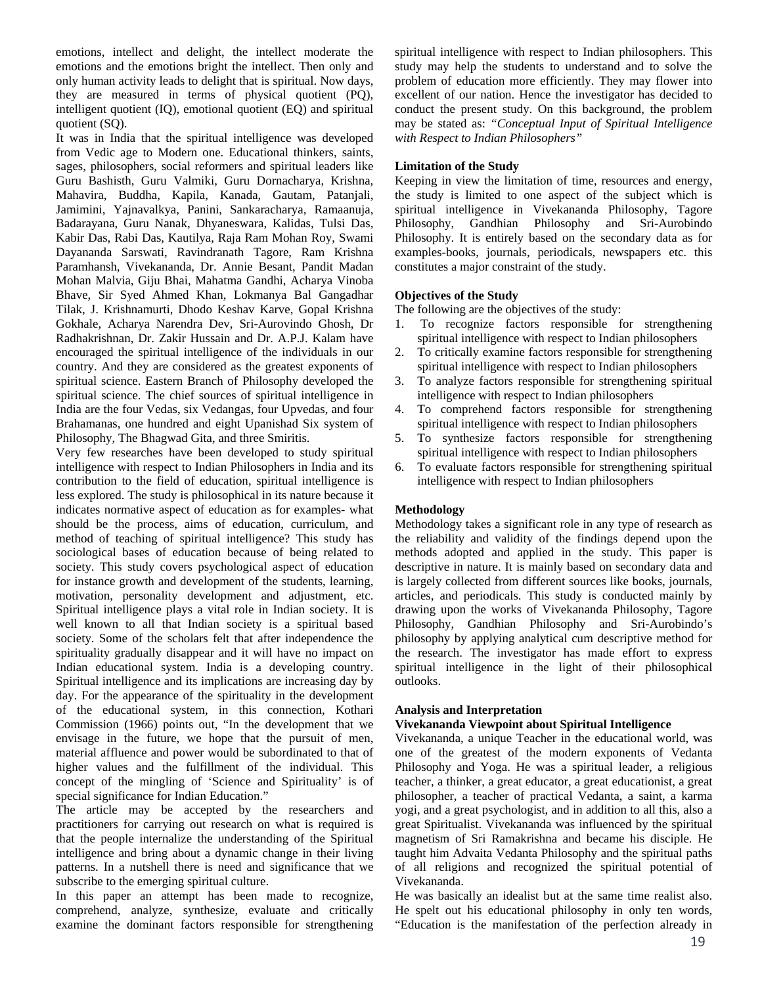emotions, intellect and delight, the intellect moderate the emotions and the emotions bright the intellect. Then only and only human activity leads to delight that is spiritual. Now days, they are measured in terms of physical quotient (PQ), intelligent quotient (IQ), emotional quotient (EQ) and spiritual quotient (SQ).

It was in India that the spiritual intelligence was developed from Vedic age to Modern one. Educational thinkers, saints, sages, philosophers, social reformers and spiritual leaders like Guru Bashisth, Guru Valmiki, Guru Dornacharya, Krishna, Mahavira, Buddha, Kapila, Kanada, Gautam, Patanjali, Jamimini, Yajnavalkya, Panini, Sankaracharya, Ramaanuja, Badarayana, Guru Nanak, Dhyaneswara, Kalidas, Tulsi Das, Kabir Das, Rabi Das, Kautilya, Raja Ram Mohan Roy, Swami Dayananda Sarswati, Ravindranath Tagore, Ram Krishna Paramhansh, Vivekananda, Dr. Annie Besant, Pandit Madan Mohan Malvia, Giju Bhai, Mahatma Gandhi, Acharya Vinoba Bhave, Sir Syed Ahmed Khan, Lokmanya Bal Gangadhar Tilak, J. Krishnamurti, Dhodo Keshav Karve, Gopal Krishna Gokhale, Acharya Narendra Dev, Sri-Aurovindo Ghosh, Dr Radhakrishnan, Dr. Zakir Hussain and Dr. A.P.J. Kalam have encouraged the spiritual intelligence of the individuals in our country. And they are considered as the greatest exponents of spiritual science. Eastern Branch of Philosophy developed the spiritual science. The chief sources of spiritual intelligence in India are the four Vedas, six Vedangas, four Upvedas, and four Brahamanas, one hundred and eight Upanishad Six system of Philosophy, The Bhagwad Gita, and three Smiritis.

Very few researches have been developed to study spiritual intelligence with respect to Indian Philosophers in India and its contribution to the field of education, spiritual intelligence is less explored. The study is philosophical in its nature because it indicates normative aspect of education as for examples- what should be the process, aims of education, curriculum, and method of teaching of spiritual intelligence? This study has sociological bases of education because of being related to society. This study covers psychological aspect of education for instance growth and development of the students, learning, motivation, personality development and adjustment, etc. Spiritual intelligence plays a vital role in Indian society. It is well known to all that Indian society is a spiritual based society. Some of the scholars felt that after independence the spirituality gradually disappear and it will have no impact on Indian educational system. India is a developing country. Spiritual intelligence and its implications are increasing day by day. For the appearance of the spirituality in the development of the educational system, in this connection, Kothari Commission (1966) points out, "In the development that we envisage in the future, we hope that the pursuit of men, material affluence and power would be subordinated to that of higher values and the fulfillment of the individual. This concept of the mingling of 'Science and Spirituality' is of special significance for Indian Education."

The article may be accepted by the researchers and practitioners for carrying out research on what is required is that the people internalize the understanding of the Spiritual intelligence and bring about a dynamic change in their living patterns. In a nutshell there is need and significance that we subscribe to the emerging spiritual culture.

In this paper an attempt has been made to recognize, comprehend, analyze, synthesize, evaluate and critically examine the dominant factors responsible for strengthening

spiritual intelligence with respect to Indian philosophers. This study may help the students to understand and to solve the problem of education more efficiently. They may flower into excellent of our nation. Hence the investigator has decided to conduct the present study. On this background, the problem may be stated as: *"Conceptual Input of Spiritual Intelligence with Respect to Indian Philosophers"* 

## **Limitation of the Study**

Keeping in view the limitation of time, resources and energy, the study is limited to one aspect of the subject which is spiritual intelligence in Vivekananda Philosophy, Tagore Philosophy, Gandhian Philosophy and Sri-Aurobindo Philosophy. It is entirely based on the secondary data as for examples-books, journals, periodicals, newspapers etc. this constitutes a major constraint of the study.

# **Objectives of the Study**

The following are the objectives of the study:

- 1. To recognize factors responsible for strengthening spiritual intelligence with respect to Indian philosophers
- 2. To critically examine factors responsible for strengthening spiritual intelligence with respect to Indian philosophers
- 3. To analyze factors responsible for strengthening spiritual intelligence with respect to Indian philosophers
- 4. To comprehend factors responsible for strengthening spiritual intelligence with respect to Indian philosophers
- 5. To synthesize factors responsible for strengthening spiritual intelligence with respect to Indian philosophers
- 6. To evaluate factors responsible for strengthening spiritual intelligence with respect to Indian philosophers

# **Methodology**

Methodology takes a significant role in any type of research as the reliability and validity of the findings depend upon the methods adopted and applied in the study. This paper is descriptive in nature. It is mainly based on secondary data and is largely collected from different sources like books, journals, articles, and periodicals. This study is conducted mainly by drawing upon the works of Vivekananda Philosophy, Tagore Philosophy, Gandhian Philosophy and Sri-Aurobindo's philosophy by applying analytical cum descriptive method for the research. The investigator has made effort to express spiritual intelligence in the light of their philosophical outlooks.

# **Analysis and Interpretation**

### **Vivekananda Viewpoint about Spiritual Intelligence**

Vivekananda, a unique Teacher in the educational world, was one of the greatest of the modern exponents of Vedanta Philosophy and Yoga. He was a spiritual leader, a religious teacher, a thinker, a great educator, a great educationist, a great philosopher, a teacher of practical Vedanta, a saint, a karma yogi, and a great psychologist, and in addition to all this, also a great Spiritualist. Vivekananda was influenced by the spiritual magnetism of Sri Ramakrishna and became his disciple. He taught him Advaita Vedanta Philosophy and the spiritual paths of all religions and recognized the spiritual potential of Vivekananda.

He was basically an idealist but at the same time realist also. He spelt out his educational philosophy in only ten words, "Education is the manifestation of the perfection already in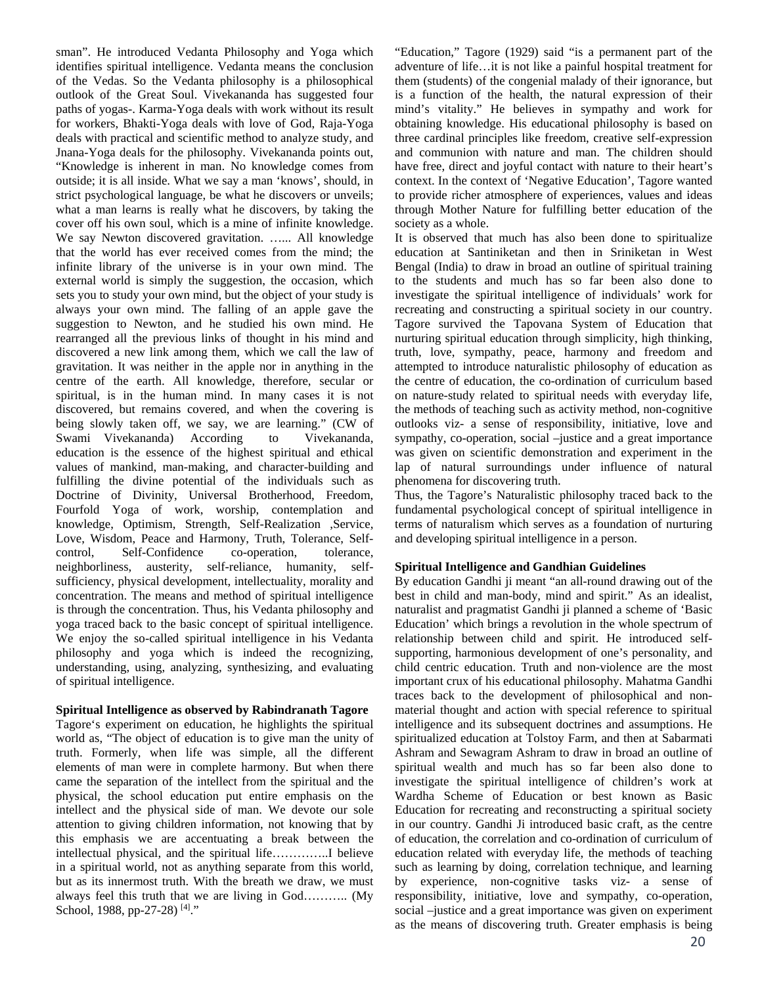sman". He introduced Vedanta Philosophy and Yoga which identifies spiritual intelligence. Vedanta means the conclusion of the Vedas. So the Vedanta philosophy is a philosophical outlook of the Great Soul. Vivekananda has suggested four paths of yogas-. Karma-Yoga deals with work without its result for workers, Bhakti-Yoga deals with love of God, Raja-Yoga deals with practical and scientific method to analyze study, and Jnana-Yoga deals for the philosophy. Vivekananda points out, "Knowledge is inherent in man. No knowledge comes from outside; it is all inside. What we say a man 'knows', should, in strict psychological language, be what he discovers or unveils; what a man learns is really what he discovers, by taking the cover off his own soul, which is a mine of infinite knowledge. We say Newton discovered gravitation. …... All knowledge that the world has ever received comes from the mind; the infinite library of the universe is in your own mind. The external world is simply the suggestion, the occasion, which sets you to study your own mind, but the object of your study is always your own mind. The falling of an apple gave the suggestion to Newton, and he studied his own mind. He rearranged all the previous links of thought in his mind and discovered a new link among them, which we call the law of gravitation. It was neither in the apple nor in anything in the centre of the earth. All knowledge, therefore, secular or spiritual, is in the human mind. In many cases it is not discovered, but remains covered, and when the covering is being slowly taken off, we say, we are learning." (CW of Swami Vivekananda) According to Vivekananda, education is the essence of the highest spiritual and ethical values of mankind, man-making, and character-building and fulfilling the divine potential of the individuals such as Doctrine of Divinity, Universal Brotherhood, Freedom, Fourfold Yoga of work, worship, contemplation and knowledge, Optimism, Strength, Self-Realization ,Service, Love, Wisdom, Peace and Harmony, Truth, Tolerance, Selfcontrol, Self-Confidence co-operation, tolerance, neighborliness, austerity, self-reliance, humanity, selfsufficiency, physical development, intellectuality, morality and concentration. The means and method of spiritual intelligence is through the concentration. Thus, his Vedanta philosophy and yoga traced back to the basic concept of spiritual intelligence. We enjoy the so-called spiritual intelligence in his Vedanta philosophy and yoga which is indeed the recognizing, understanding, using, analyzing, synthesizing, and evaluating of spiritual intelligence.

### **Spiritual Intelligence as observed by Rabindranath Tagore**

Tagore's experiment on education, he highlights the spiritual world as, "The object of education is to give man the unity of truth. Formerly, when life was simple, all the different elements of man were in complete harmony. But when there came the separation of the intellect from the spiritual and the physical, the school education put entire emphasis on the intellect and the physical side of man. We devote our sole attention to giving children information, not knowing that by this emphasis we are accentuating a break between the intellectual physical, and the spiritual life…………..I believe in a spiritual world, not as anything separate from this world, but as its innermost truth. With the breath we draw, we must always feel this truth that we are living in God……….. (My School, 1988, pp-27-28)<sup>[4]</sup>."

"Education," Tagore (1929) said "is a permanent part of the adventure of life…it is not like a painful hospital treatment for them (students) of the congenial malady of their ignorance, but is a function of the health, the natural expression of their mind's vitality." He believes in sympathy and work for obtaining knowledge. His educational philosophy is based on three cardinal principles like freedom, creative self-expression and communion with nature and man. The children should have free, direct and joyful contact with nature to their heart's context. In the context of 'Negative Education', Tagore wanted to provide richer atmosphere of experiences, values and ideas through Mother Nature for fulfilling better education of the society as a whole.

It is observed that much has also been done to spiritualize education at Santiniketan and then in Sriniketan in West Bengal (India) to draw in broad an outline of spiritual training to the students and much has so far been also done to investigate the spiritual intelligence of individuals' work for recreating and constructing a spiritual society in our country. Tagore survived the Tapovana System of Education that nurturing spiritual education through simplicity, high thinking, truth, love, sympathy, peace, harmony and freedom and attempted to introduce naturalistic philosophy of education as the centre of education, the co-ordination of curriculum based on nature-study related to spiritual needs with everyday life, the methods of teaching such as activity method, non-cognitive outlooks viz- a sense of responsibility, initiative, love and sympathy, co-operation, social –justice and a great importance was given on scientific demonstration and experiment in the lap of natural surroundings under influence of natural phenomena for discovering truth.

Thus, the Tagore's Naturalistic philosophy traced back to the fundamental psychological concept of spiritual intelligence in terms of naturalism which serves as a foundation of nurturing and developing spiritual intelligence in a person.

### **Spiritual Intelligence and Gandhian Guidelines**

By education Gandhi ji meant "an all-round drawing out of the best in child and man-body, mind and spirit." As an idealist, naturalist and pragmatist Gandhi ji planned a scheme of 'Basic Education' which brings a revolution in the whole spectrum of relationship between child and spirit. He introduced selfsupporting, harmonious development of one's personality, and child centric education. Truth and non-violence are the most important crux of his educational philosophy. Mahatma Gandhi traces back to the development of philosophical and nonmaterial thought and action with special reference to spiritual intelligence and its subsequent doctrines and assumptions. He spiritualized education at Tolstoy Farm, and then at Sabarmati Ashram and Sewagram Ashram to draw in broad an outline of spiritual wealth and much has so far been also done to investigate the spiritual intelligence of children's work at Wardha Scheme of Education or best known as Basic Education for recreating and reconstructing a spiritual society in our country. Gandhi Ji introduced basic craft, as the centre of education, the correlation and co-ordination of curriculum of education related with everyday life, the methods of teaching such as learning by doing, correlation technique, and learning by experience, non-cognitive tasks viz- a sense of responsibility, initiative, love and sympathy, co-operation, social –justice and a great importance was given on experiment as the means of discovering truth. Greater emphasis is being